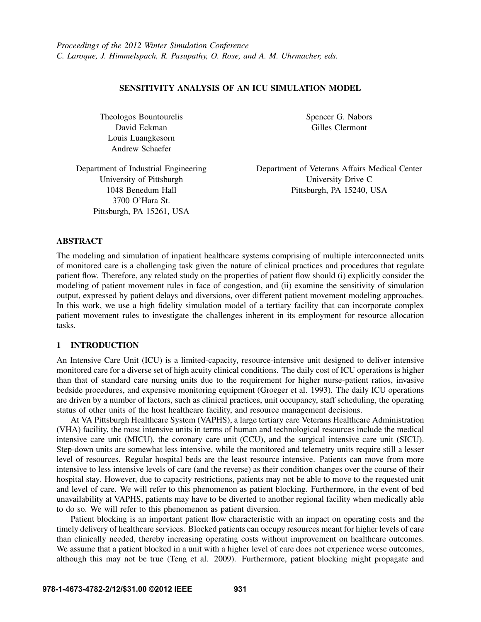# SENSITIVITY ANALYSIS OF AN ICU SIMULATION MODEL

Theologos Bountourelis David Eckman Louis Luangkesorn Andrew Schaefer

Spencer G. Nabors Gilles Clermont

Department of Industrial Engineering University of Pittsburgh 1048 Benedum Hall 3700 O'Hara St. Pittsburgh, PA 15261, USA

Department of Veterans Affairs Medical Center University Drive C Pittsburgh, PA 15240, USA

## **ABSTRACT**

The modeling and simulation of inpatient healthcare systems comprising of multiple interconnected units of monitored care is a challenging task given the nature of clinical practices and procedures that regulate patient flow. Therefore, any related study on the properties of patient flow should (i) explicitly consider the modeling of patient movement rules in face of congestion, and (ii) examine the sensitivity of simulation output, expressed by patient delays and diversions, over different patient movement modeling approaches. In this work, we use a high fidelity simulation model of a tertiary facility that can incorporate complex patient movement rules to investigate the challenges inherent in its employment for resource allocation tasks.

## 1 INTRODUCTION

An Intensive Care Unit (ICU) is a limited-capacity, resource-intensive unit designed to deliver intensive monitored care for a diverse set of high acuity clinical conditions. The daily cost of ICU operations is higher than that of standard care nursing units due to the requirement for higher nurse-patient ratios, invasive bedside procedures, and expensive monitoring equipment (Groeger et al. 1993). The daily ICU operations are driven by a number of factors, such as clinical practices, unit occupancy, staff scheduling, the operating status of other units of the host healthcare facility, and resource management decisions.

At VA Pittsburgh Healthcare System (VAPHS), a large tertiary care Veterans Healthcare Administration (VHA) facility, the most intensive units in terms of human and technological resources include the medical intensive care unit (MICU), the coronary care unit (CCU), and the surgical intensive care unit (SICU). Step-down units are somewhat less intensive, while the monitored and telemetry units require still a lesser level of resources. Regular hospital beds are the least resource intensive. Patients can move from more intensive to less intensive levels of care (and the reverse) as their condition changes over the course of their hospital stay. However, due to capacity restrictions, patients may not be able to move to the requested unit and level of care. We will refer to this phenomenon as patient blocking. Furthermore, in the event of bed unavailability at VAPHS, patients may have to be diverted to another regional facility when medically able to do so. We will refer to this phenomenon as patient diversion.

Patient blocking is an important patient flow characteristic with an impact on operating costs and the timely delivery of healthcare services. Blocked patients can occupy resources meant for higher levels of care than clinically needed, thereby increasing operating costs without improvement on healthcare outcomes. We assume that a patient blocked in a unit with a higher level of care does not experience worse outcomes, although this may not be true (Teng et al. 2009). Furthermore, patient blocking might propagate and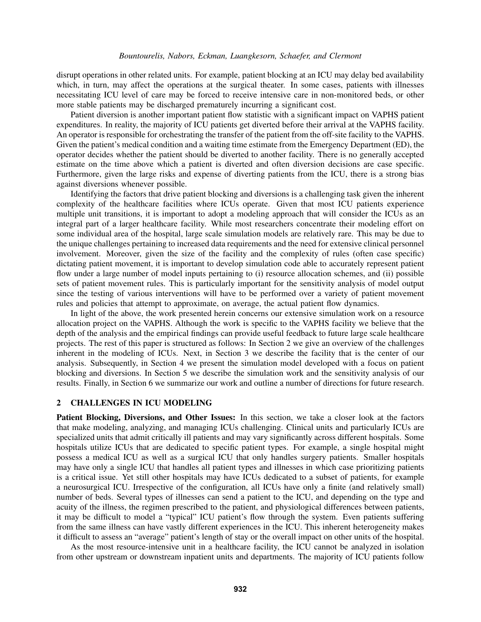disrupt operations in other related units. For example, patient blocking at an ICU may delay bed availability which, in turn, may affect the operations at the surgical theater. In some cases, patients with illnesses necessitating ICU level of care may be forced to receive intensive care in non-monitored beds, or other more stable patients may be discharged prematurely incurring a significant cost.

Patient diversion is another important patient flow statistic with a significant impact on VAPHS patient expenditures. In reality, the majority of ICU patients get diverted before their arrival at the VAPHS facility. An operator is responsible for orchestrating the transfer of the patient from the off-site facility to the VAPHS. Given the patient's medical condition and a waiting time estimate from the Emergency Department (ED), the operator decides whether the patient should be diverted to another facility. There is no generally accepted estimate on the time above which a patient is diverted and often diversion decisions are case specific. Furthermore, given the large risks and expense of diverting patients from the ICU, there is a strong bias against diversions whenever possible.

Identifying the factors that drive patient blocking and diversions is a challenging task given the inherent complexity of the healthcare facilities where ICUs operate. Given that most ICU patients experience multiple unit transitions, it is important to adopt a modeling approach that will consider the ICUs as an integral part of a larger healthcare facility. While most researchers concentrate their modeling effort on some individual area of the hospital, large scale simulation models are relatively rare. This may be due to the unique challenges pertaining to increased data requirements and the need for extensive clinical personnel involvement. Moreover, given the size of the facility and the complexity of rules (often case specific) dictating patient movement, it is important to develop simulation code able to accurately represent patient flow under a large number of model inputs pertaining to (i) resource allocation schemes, and (ii) possible sets of patient movement rules. This is particularly important for the sensitivity analysis of model output since the testing of various interventions will have to be performed over a variety of patient movement rules and policies that attempt to approximate, on average, the actual patient flow dynamics.

In light of the above, the work presented herein concerns our extensive simulation work on a resource allocation project on the VAPHS. Although the work is specific to the VAPHS facility we believe that the depth of the analysis and the empirical findings can provide useful feedback to future large scale healthcare projects. The rest of this paper is structured as follows: In Section 2 we give an overview of the challenges inherent in the modeling of ICUs. Next, in Section 3 we describe the facility that is the center of our analysis. Subsequently, in Section 4 we present the simulation model developed with a focus on patient blocking and diversions. In Section 5 we describe the simulation work and the sensitivity analysis of our results. Finally, in Section 6 we summarize our work and outline a number of directions for future research.

# 2 CHALLENGES IN ICU MODELING

Patient Blocking, Diversions, and Other Issues: In this section, we take a closer look at the factors that make modeling, analyzing, and managing ICUs challenging. Clinical units and particularly ICUs are specialized units that admit critically ill patients and may vary significantly across different hospitals. Some hospitals utilize ICUs that are dedicated to specific patient types. For example, a single hospital might possess a medical ICU as well as a surgical ICU that only handles surgery patients. Smaller hospitals may have only a single ICU that handles all patient types and illnesses in which case prioritizing patients is a critical issue. Yet still other hospitals may have ICUs dedicated to a subset of patients, for example a neurosurgical ICU. Irrespective of the configuration, all ICUs have only a finite (and relatively small) number of beds. Several types of illnesses can send a patient to the ICU, and depending on the type and acuity of the illness, the regimen prescribed to the patient, and physiological differences between patients, it may be difficult to model a "typical" ICU patient's flow through the system. Even patients suffering from the same illness can have vastly different experiences in the ICU. This inherent heterogeneity makes it difficult to assess an "average" patient's length of stay or the overall impact on other units of the hospital.

As the most resource-intensive unit in a healthcare facility, the ICU cannot be analyzed in isolation from other upstream or downstream inpatient units and departments. The majority of ICU patients follow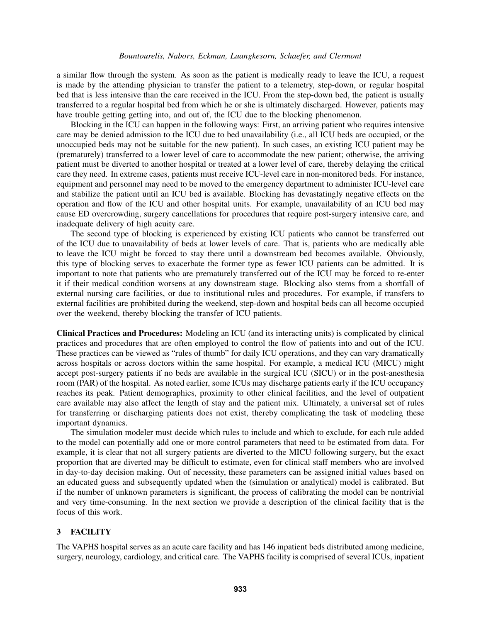a similar flow through the system. As soon as the patient is medically ready to leave the ICU, a request is made by the attending physician to transfer the patient to a telemetry, step-down, or regular hospital bed that is less intensive than the care received in the ICU. From the step-down bed, the patient is usually transferred to a regular hospital bed from which he or she is ultimately discharged. However, patients may have trouble getting getting into, and out of, the ICU due to the blocking phenomenon.

Blocking in the ICU can happen in the following ways: First, an arriving patient who requires intensive care may be denied admission to the ICU due to bed unavailability (i.e., all ICU beds are occupied, or the unoccupied beds may not be suitable for the new patient). In such cases, an existing ICU patient may be (prematurely) transferred to a lower level of care to accommodate the new patient; otherwise, the arriving patient must be diverted to another hospital or treated at a lower level of care, thereby delaying the critical care they need. In extreme cases, patients must receive ICU-level care in non-monitored beds. For instance, equipment and personnel may need to be moved to the emergency department to administer ICU-level care and stabilize the patient until an ICU bed is available. Blocking has devastatingly negative effects on the operation and flow of the ICU and other hospital units. For example, unavailability of an ICU bed may cause ED overcrowding, surgery cancellations for procedures that require post-surgery intensive care, and inadequate delivery of high acuity care.

The second type of blocking is experienced by existing ICU patients who cannot be transferred out of the ICU due to unavailability of beds at lower levels of care. That is, patients who are medically able to leave the ICU might be forced to stay there until a downstream bed becomes available. Obviously, this type of blocking serves to exacerbate the former type as fewer ICU patients can be admitted. It is important to note that patients who are prematurely transferred out of the ICU may be forced to re-enter it if their medical condition worsens at any downstream stage. Blocking also stems from a shortfall of external nursing care facilities, or due to institutional rules and procedures. For example, if transfers to external facilities are prohibited during the weekend, step-down and hospital beds can all become occupied over the weekend, thereby blocking the transfer of ICU patients.

Clinical Practices and Procedures: Modeling an ICU (and its interacting units) is complicated by clinical practices and procedures that are often employed to control the flow of patients into and out of the ICU. These practices can be viewed as "rules of thumb" for daily ICU operations, and they can vary dramatically across hospitals or across doctors within the same hospital. For example, a medical ICU (MICU) might accept post-surgery patients if no beds are available in the surgical ICU (SICU) or in the post-anesthesia room (PAR) of the hospital. As noted earlier, some ICUs may discharge patients early if the ICU occupancy reaches its peak. Patient demographics, proximity to other clinical facilities, and the level of outpatient care available may also affect the length of stay and the patient mix. Ultimately, a universal set of rules for transferring or discharging patients does not exist, thereby complicating the task of modeling these important dynamics.

The simulation modeler must decide which rules to include and which to exclude, for each rule added to the model can potentially add one or more control parameters that need to be estimated from data. For example, it is clear that not all surgery patients are diverted to the MICU following surgery, but the exact proportion that are diverted may be difficult to estimate, even for clinical staff members who are involved in day-to-day decision making. Out of necessity, these parameters can be assigned initial values based on an educated guess and subsequently updated when the (simulation or analytical) model is calibrated. But if the number of unknown parameters is significant, the process of calibrating the model can be nontrivial and very time-consuming. In the next section we provide a description of the clinical facility that is the focus of this work.

# 3 FACILITY

The VAPHS hospital serves as an acute care facility and has 146 inpatient beds distributed among medicine, surgery, neurology, cardiology, and critical care. The VAPHS facility is comprised of several ICUs, inpatient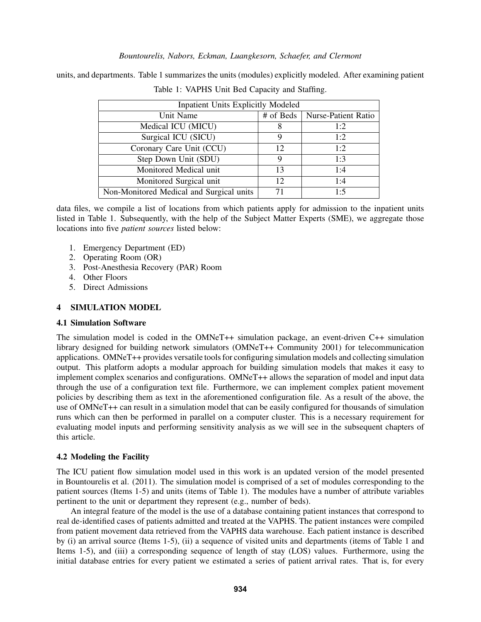units, and departments. Table 1 summarizes the units (modules) explicitly modeled. After examining patient

| <b>Inpatient Units Explicitly Modeled</b> |           |                            |  |  |  |
|-------------------------------------------|-----------|----------------------------|--|--|--|
| Unit Name                                 | # of Beds | <b>Nurse-Patient Ratio</b> |  |  |  |
| Medical ICU (MICU)                        |           | 1:2                        |  |  |  |
| Surgical ICU (SICU)                       | 9         | 1:2                        |  |  |  |
| Coronary Care Unit (CCU)                  | 12        | 1:2                        |  |  |  |
| Step Down Unit (SDU)                      | 9         | 1:3                        |  |  |  |
| Monitored Medical unit                    | 13        | 1:4                        |  |  |  |
| Monitored Surgical unit                   | 12        | 1:4                        |  |  |  |
| Non-Monitored Medical and Surgical units  | 71        | 1.5                        |  |  |  |

Table 1: VAPHS Unit Bed Capacity and Staffing.

data files, we compile a list of locations from which patients apply for admission to the inpatient units listed in Table 1. Subsequently, with the help of the Subject Matter Experts (SME), we aggregate those locations into five *patient sources* listed below:

- 1. Emergency Department (ED)
- 2. Operating Room (OR)
- 3. Post-Anesthesia Recovery (PAR) Room
- 4. Other Floors
- 5. Direct Admissions

## 4 SIMULATION MODEL

#### 4.1 Simulation Software

The simulation model is coded in the OMNeT++ simulation package, an event-driven C++ simulation library designed for building network simulators (OMNeT++ Community 2001) for telecommunication applications. OMNeT++ provides versatile tools for configuring simulation models and collecting simulation output. This platform adopts a modular approach for building simulation models that makes it easy to implement complex scenarios and configurations. OMNeT++ allows the separation of model and input data through the use of a configuration text file. Furthermore, we can implement complex patient movement policies by describing them as text in the aforementioned configuration file. As a result of the above, the use of OMNeT++ can result in a simulation model that can be easily configured for thousands of simulation runs which can then be performed in parallel on a computer cluster. This is a necessary requirement for evaluating model inputs and performing sensitivity analysis as we will see in the subsequent chapters of this article.

## 4.2 Modeling the Facility

The ICU patient flow simulation model used in this work is an updated version of the model presented in Bountourelis et al. (2011). The simulation model is comprised of a set of modules corresponding to the patient sources (Items 1-5) and units (items of Table 1). The modules have a number of attribute variables pertinent to the unit or department they represent (e.g., number of beds).

An integral feature of the model is the use of a database containing patient instances that correspond to real de-identified cases of patients admitted and treated at the VAPHS. The patient instances were compiled from patient movement data retrieved from the VAPHS data warehouse. Each patient instance is described by (i) an arrival source (Items 1-5), (ii) a sequence of visited units and departments (items of Table 1 and Items 1-5), and (iii) a corresponding sequence of length of stay (LOS) values. Furthermore, using the initial database entries for every patient we estimated a series of patient arrival rates. That is, for every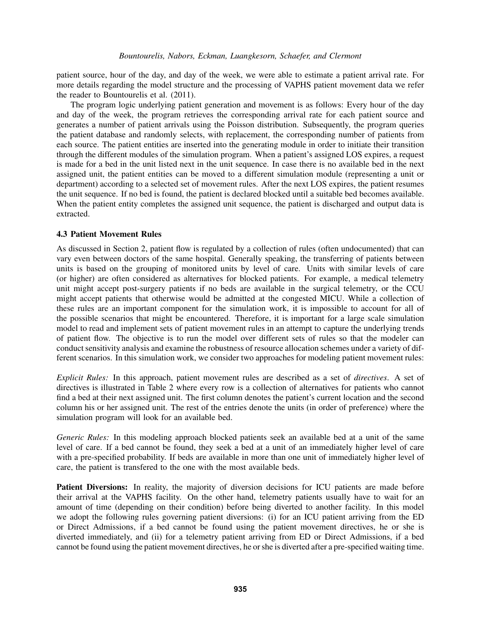patient source, hour of the day, and day of the week, we were able to estimate a patient arrival rate. For more details regarding the model structure and the processing of VAPHS patient movement data we refer the reader to Bountourelis et al. (2011).

The program logic underlying patient generation and movement is as follows: Every hour of the day and day of the week, the program retrieves the corresponding arrival rate for each patient source and generates a number of patient arrivals using the Poisson distribution. Subsequently, the program queries the patient database and randomly selects, with replacement, the corresponding number of patients from each source. The patient entities are inserted into the generating module in order to initiate their transition through the different modules of the simulation program. When a patient's assigned LOS expires, a request is made for a bed in the unit listed next in the unit sequence. In case there is no available bed in the next assigned unit, the patient entities can be moved to a different simulation module (representing a unit or department) according to a selected set of movement rules. After the next LOS expires, the patient resumes the unit sequence. If no bed is found, the patient is declared blocked until a suitable bed becomes available. When the patient entity completes the assigned unit sequence, the patient is discharged and output data is extracted.

#### 4.3 Patient Movement Rules

As discussed in Section 2, patient flow is regulated by a collection of rules (often undocumented) that can vary even between doctors of the same hospital. Generally speaking, the transferring of patients between units is based on the grouping of monitored units by level of care. Units with similar levels of care (or higher) are often considered as alternatives for blocked patients. For example, a medical telemetry unit might accept post-surgery patients if no beds are available in the surgical telemetry, or the CCU might accept patients that otherwise would be admitted at the congested MICU. While a collection of these rules are an important component for the simulation work, it is impossible to account for all of the possible scenarios that might be encountered. Therefore, it is important for a large scale simulation model to read and implement sets of patient movement rules in an attempt to capture the underlying trends of patient flow. The objective is to run the model over different sets of rules so that the modeler can conduct sensitivity analysis and examine the robustness of resource allocation schemes under a variety of different scenarios. In this simulation work, we consider two approaches for modeling patient movement rules:

*Explicit Rules:* In this approach, patient movement rules are described as a set of *directives*. A set of directives is illustrated in Table 2 where every row is a collection of alternatives for patients who cannot find a bed at their next assigned unit. The first column denotes the patient's current location and the second column his or her assigned unit. The rest of the entries denote the units (in order of preference) where the simulation program will look for an available bed.

*Generic Rules:* In this modeling approach blocked patients seek an available bed at a unit of the same level of care. If a bed cannot be found, they seek a bed at a unit of an immediately higher level of care with a pre-specified probability. If beds are available in more than one unit of immediately higher level of care, the patient is transfered to the one with the most available beds.

Patient Diversions: In reality, the majority of diversion decisions for ICU patients are made before their arrival at the VAPHS facility. On the other hand, telemetry patients usually have to wait for an amount of time (depending on their condition) before being diverted to another facility. In this model we adopt the following rules governing patient diversions: (i) for an ICU patient arriving from the ED or Direct Admissions, if a bed cannot be found using the patient movement directives, he or she is diverted immediately, and (ii) for a telemetry patient arriving from ED or Direct Admissions, if a bed cannot be found using the patient movement directives, he or she is diverted after a pre-specified waiting time.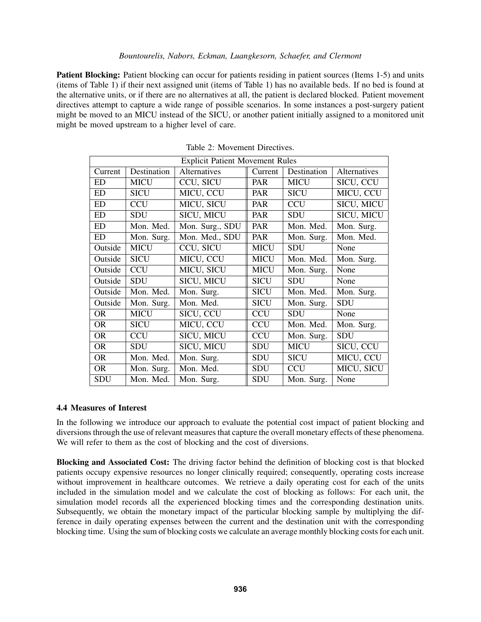Patient Blocking: Patient blocking can occur for patients residing in patient sources (Items 1-5) and units (items of Table 1) if their next assigned unit (items of Table 1) has no available beds. If no bed is found at the alternative units, or if there are no alternatives at all, the patient is declared blocked. Patient movement directives attempt to capture a wide range of possible scenarios. In some instances a post-surgery patient might be moved to an MICU instead of the SICU, or another patient initially assigned to a monitored unit might be moved upstream to a higher level of care.

| <b>Explicit Patient Movement Rules</b> |             |                   |             |             |              |  |
|----------------------------------------|-------------|-------------------|-------------|-------------|--------------|--|
| Current                                | Destination | Alternatives      | Current     | Destination | Alternatives |  |
| <b>ED</b>                              | <b>MICU</b> | CCU, SICU         | PAR         | <b>MICU</b> | SICU, CCU    |  |
| <b>ED</b>                              | <b>SICU</b> | MICU, CCU         | PAR         | <b>SICU</b> | MICU, CCU    |  |
| ED                                     | <b>CCU</b>  | MICU, SICU        | PAR         | <b>CCU</b>  | SICU, MICU   |  |
| ED                                     | <b>SDU</b>  | SICU, MICU        | PAR         | SDU         | SICU, MICU   |  |
| ED                                     | Mon. Med.   | Mon. Surg., SDU   | PAR         | Mon. Med.   | Mon. Surg.   |  |
| <b>ED</b>                              | Mon. Surg.  | Mon. Med., SDU    | PAR         | Mon. Surg.  | Mon. Med.    |  |
| Outside                                | <b>MICU</b> | CCU, SICU         | <b>MICU</b> | <b>SDU</b>  | None         |  |
| Outside                                | <b>SICU</b> | MICU, CCU         | <b>MICU</b> | Mon. Med.   | Mon. Surg.   |  |
| Outside                                | <b>CCU</b>  | MICU, SICU        | <b>MICU</b> | Mon. Surg.  | None         |  |
| Outside                                | SDU         | <b>SICU, MICU</b> | <b>SICU</b> | <b>SDU</b>  | None         |  |
| Outside                                | Mon. Med.   | Mon. Surg.        | <b>SICU</b> | Mon. Med.   | Mon. Surg.   |  |
| Outside                                | Mon. Surg.  | Mon. Med.         | <b>SICU</b> | Mon. Surg.  | SDU          |  |
| <b>OR</b>                              | <b>MICU</b> | SICU, CCU         | <b>CCU</b>  | <b>SDU</b>  | None         |  |
| <b>OR</b>                              | <b>SICU</b> | MICU, CCU         | <b>CCU</b>  | Mon. Med.   | Mon. Surg.   |  |
| <b>OR</b>                              | <b>CCU</b>  | <b>SICU, MICU</b> | CCU         | Mon. Surg.  | <b>SDU</b>   |  |
| <b>OR</b>                              | <b>SDU</b>  | SICU, MICU        | SDU         | <b>MICU</b> | SICU, CCU    |  |
| <b>OR</b>                              | Mon. Med.   | Mon. Surg.        | SDU         | <b>SICU</b> | MICU, CCU    |  |
| <b>OR</b>                              | Mon. Surg.  | Mon. Med.         | SDU         | <b>CCU</b>  | MICU, SICU   |  |
| SDU                                    | Mon. Med.   | Mon. Surg.        | SDU         | Mon. Surg.  | None         |  |

Table 2: Movement Directives.

## 4.4 Measures of Interest

In the following we introduce our approach to evaluate the potential cost impact of patient blocking and diversions through the use of relevant measures that capture the overall monetary effects of these phenomena. We will refer to them as the cost of blocking and the cost of diversions.

Blocking and Associated Cost: The driving factor behind the definition of blocking cost is that blocked patients occupy expensive resources no longer clinically required; consequently, operating costs increase without improvement in healthcare outcomes. We retrieve a daily operating cost for each of the units included in the simulation model and we calculate the cost of blocking as follows: For each unit, the simulation model records all the experienced blocking times and the corresponding destination units. Subsequently, we obtain the monetary impact of the particular blocking sample by multiplying the difference in daily operating expenses between the current and the destination unit with the corresponding blocking time. Using the sum of blocking costs we calculate an average monthly blocking costs for each unit.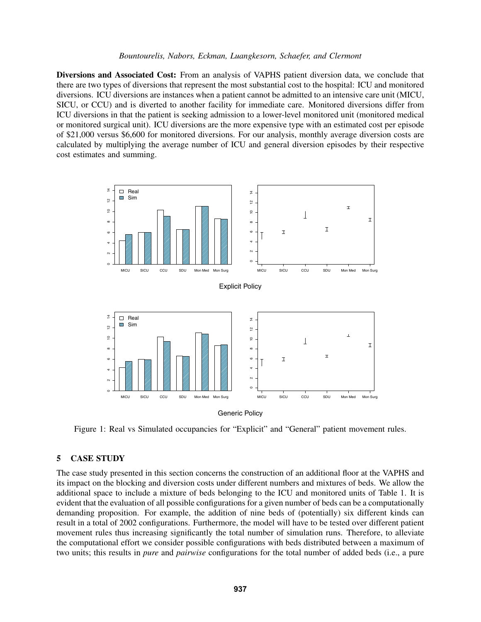Diversions and Associated Cost: From an analysis of VAPHS patient diversion data, we conclude that there are two types of diversions that represent the most substantial cost to the hospital: ICU and monitored diversions. ICU diversions are instances when a patient cannot be admitted to an intensive care unit (MICU, SICU, or CCU) and is diverted to another facility for immediate care. Monitored diversions differ from ICU diversions in that the patient is seeking admission to a lower-level monitored unit (monitored medical or monitored surgical unit). ICU diversions are the more expensive type with an estimated cost per episode of \$21,000 versus \$6,600 for monitored diversions. For our analysis, monthly average diversion costs are calculated by multiplying the average number of ICU and general diversion episodes by their respective cost estimates and summing.





Figure 1: Real vs Simulated occupancies for "Explicit" and "General" patient movement rules.

# 5 CASE STUDY

The case study presented in this section concerns the construction of an additional floor at the VAPHS and its impact on the blocking and diversion costs under different numbers and mixtures of beds. We allow the additional space to include a mixture of beds belonging to the ICU and monitored units of Table 1. It is evident that the evaluation of all possible configurations for a given number of beds can be a computationally demanding proposition. For example, the addition of nine beds of (potentially) six different kinds can result in a total of 2002 configurations. Furthermore, the model will have to be tested over different patient movement rules thus increasing significantly the total number of simulation runs. Therefore, to alleviate the computational effort we consider possible configurations with beds distributed between a maximum of two units; this results in *pure* and *pairwise* configurations for the total number of added beds (i.e., a pure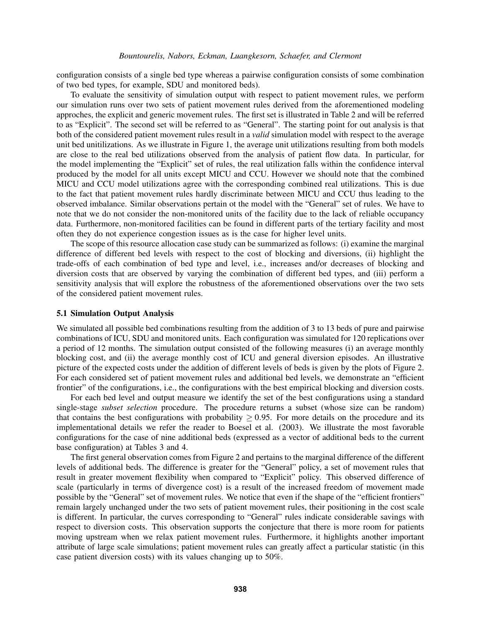configuration consists of a single bed type whereas a pairwise configuration consists of some combination of two bed types, for example, SDU and monitored beds).

To evaluate the sensitivity of simulation output with respect to patient movement rules, we perform our simulation runs over two sets of patient movement rules derived from the aforementioned modeling approches, the explicit and generic movement rules. The first set is illustrated in Table 2 and will be referred to as "Explicit". The second set will be referred to as "General". The starting point for out analysis is that both of the considered patient movement rules result in a *valid* simulation model with respect to the average unit bed unitilizations. As we illustrate in Figure 1, the average unit utilizations resulting from both models are close to the real bed utilizations observed from the analysis of patient flow data. In particular, for the model implementing the "Explicit" set of rules, the real utilization falls within the confidence interval produced by the model for all units except MICU and CCU. However we should note that the combined MICU and CCU model utilizations agree with the corresponding combined real utilizations. This is due to the fact that patient movement rules hardly discriminate between MICU and CCU thus leading to the observed imbalance. Similar observations pertain ot the model with the "General" set of rules. We have to note that we do not consider the non-monitored units of the facility due to the lack of reliable occupancy data. Furthermore, non-monitored facilities can be found in different parts of the tertiary facility and most often they do not experience congestion issues as is the case for higher level units.

The scope of this resource allocation case study can be summarized as follows: (i) examine the marginal difference of different bed levels with respect to the cost of blocking and diversions, (ii) highlight the trade-offs of each combination of bed type and level, i.e., increases and/or decreases of blocking and diversion costs that are observed by varying the combination of different bed types, and (iii) perform a sensitivity analysis that will explore the robustness of the aforementioned observations over the two sets of the considered patient movement rules.

#### 5.1 Simulation Output Analysis

We simulated all possible bed combinations resulting from the addition of 3 to 13 beds of pure and pairwise combinations of ICU, SDU and monitored units. Each configuration was simulated for 120 replications over a period of 12 months. The simulation output consisted of the following measures (i) an average monthly blocking cost, and (ii) the average monthly cost of ICU and general diversion episodes. An illustrative picture of the expected costs under the addition of different levels of beds is given by the plots of Figure 2. For each considered set of patient movement rules and additional bed levels, we demonstrate an "efficient frontier" of the configurations, i.e., the configurations with the best empirical blocking and diversion costs.

For each bed level and output measure we identify the set of the best configurations using a standard single-stage *subset selection* procedure. The procedure returns a subset (whose size can be random) that contains the best configurations with probability  $\geq$  0.95. For more details on the procedure and its implementational details we refer the reader to Boesel et al. (2003). We illustrate the most favorable configurations for the case of nine additional beds (expressed as a vector of additional beds to the current base configuration) at Tables 3 and 4.

The first general observation comes from Figure 2 and pertains to the marginal difference of the different levels of additional beds. The difference is greater for the "General" policy, a set of movement rules that result in greater movement flexibility when compared to "Explicit" policy. This observed difference of scale (particularly in terms of divergence cost) is a result of the increased freedom of movement made possible by the "General" set of movement rules. We notice that even if the shape of the "efficient frontiers" remain largely unchanged under the two sets of patient movement rules, their positioning in the cost scale is different. In particular, the curves corresponding to "General" rules indicate considerable savings with respect to diversion costs. This observation supports the conjecture that there is more room for patients moving upstream when we relax patient movement rules. Furthermore, it highlights another important attribute of large scale simulations; patient movement rules can greatly affect a particular statistic (in this case patient diversion costs) with its values changing up to 50%.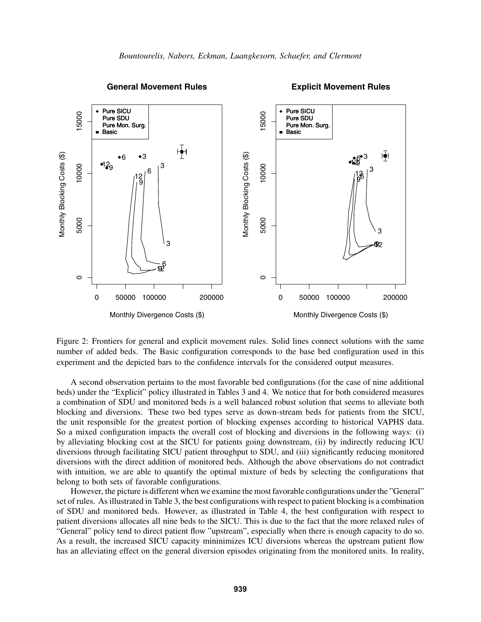

Figure 2: Frontiers for general and explicit movement rules. Solid lines connect solutions with the same number of added beds. The Basic configuration corresponds to the base bed configuration used in this experiment and the depicted bars to the confidence intervals for the considered output measures.

A second observation pertains to the most favorable bed configurations (for the case of nine additional beds) under the "Explicit" policy illustrated in Tables 3 and 4. We notice that for both considered measures a combination of SDU and monitored beds is a well balanced robust solution that seems to alleviate both blocking and diversions. These two bed types serve as down-stream beds for patients from the SICU, the unit responsible for the greatest portion of blocking expenses according to historical VAPHS data. So a mixed configuration impacts the overall cost of blocking and diversions in the following ways: (i) by alleviating blocking cost at the SICU for patients going downstream, (ii) by indirectly reducing ICU diversions through facilitating SICU patient throughput to SDU, and (iii) significantly reducing monitored diversions with the direct addition of monitored beds. Although the above observations do not contradict with intuition, we are able to quantify the optimal mixture of beds by selecting the configurations that belong to both sets of favorable configurations.

However, the picture is different when we examine the most favorable configurations under the "General" set of rules. As illustrated in Table 3, the best configurations with respect to patient blocking is a combination of SDU and monitored beds. However, as illustrated in Table 4, the best configuration with respect to patient diversions allocates all nine beds to the SICU. This is due to the fact that the more relaxed rules of "General" policy tend to direct patient flow "upstream", especially when there is enough capacity to do so. As a result, the increased SICU capacity mininimizes ICU diversions whereas the upstream patient flow has an alleviating effect on the general diversion episodes originating from the monitored units. In reality,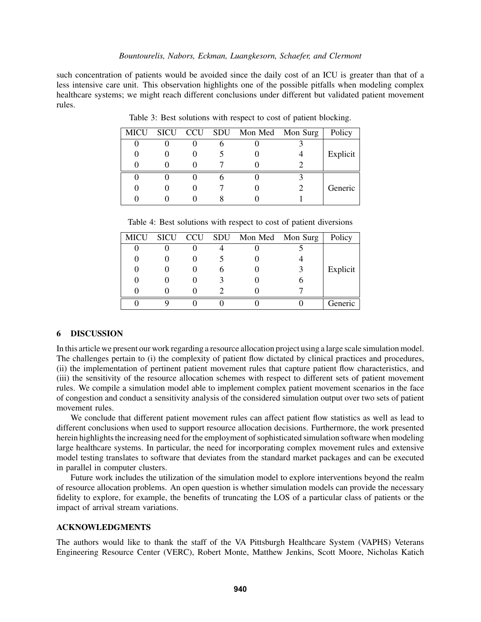such concentration of patients would be avoided since the daily cost of an ICU is greater than that of a less intensive care unit. This observation highlights one of the possible pitfalls when modeling complex healthcare systems; we might reach different conclusions under different but validated patient movement rules.

| <b>MICU</b> |  | SICU CCU SDU Mon Med Mon Surg | Policy   |
|-------------|--|-------------------------------|----------|
|             |  |                               |          |
|             |  |                               | Explicit |
|             |  |                               |          |
|             |  |                               |          |
|             |  |                               | Generic  |
|             |  |                               |          |

Table 3: Best solutions with respect to cost of patient blocking.

Table 4: Best solutions with respect to cost of patient diversions

|  |  | MICU SICU CCU SDU Mon Med Mon Surg | Policy   |
|--|--|------------------------------------|----------|
|  |  |                                    |          |
|  |  |                                    |          |
|  |  |                                    | Explicit |
|  |  |                                    |          |
|  |  |                                    |          |
|  |  |                                    | Generic  |

#### 6 DISCUSSION

In this article we present our work regarding a resource allocation project using a large scale simulation model. The challenges pertain to (i) the complexity of patient flow dictated by clinical practices and procedures, (ii) the implementation of pertinent patient movement rules that capture patient flow characteristics, and (iii) the sensitivity of the resource allocation schemes with respect to different sets of patient movement rules. We compile a simulation model able to implement complex patient movement scenarios in the face of congestion and conduct a sensitivity analysis of the considered simulation output over two sets of patient movement rules.

We conclude that different patient movement rules can affect patient flow statistics as well as lead to different conclusions when used to support resource allocation decisions. Furthermore, the work presented herein highlights the increasing need for the employment of sophisticated simulation software when modeling large healthcare systems. In particular, the need for incorporating complex movement rules and extensive model testing translates to software that deviates from the standard market packages and can be executed in parallel in computer clusters.

Future work includes the utilization of the simulation model to explore interventions beyond the realm of resource allocation problems. An open question is whether simulation models can provide the necessary fidelity to explore, for example, the benefits of truncating the LOS of a particular class of patients or the impact of arrival stream variations.

## ACKNOWLEDGMENTS

The authors would like to thank the staff of the VA Pittsburgh Healthcare System (VAPHS) Veterans Engineering Resource Center (VERC), Robert Monte, Matthew Jenkins, Scott Moore, Nicholas Katich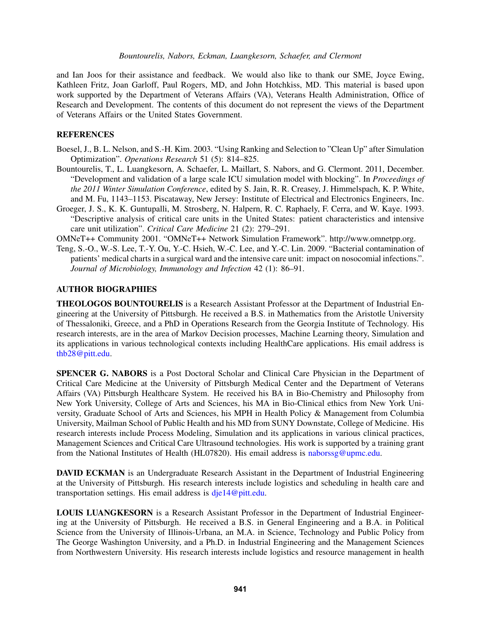and Ian Joos for their assistance and feedback. We would also like to thank our SME, Joyce Ewing, Kathleen Fritz, Joan Garloff, Paul Rogers, MD, and John Hotchkiss, MD. This material is based upon work supported by the Department of Veterans Affairs (VA), Veterans Health Administration, Office of Research and Development. The contents of this document do not represent the views of the Department of Veterans Affairs or the United States Government.

# **REFERENCES**

- Boesel, J., B. L. Nelson, and S.-H. Kim. 2003. "Using Ranking and Selection to "Clean Up" after Simulation Optimization". *Operations Research* 51 (5): 814–825.
- Bountourelis, T., L. Luangkesorn, A. Schaefer, L. Maillart, S. Nabors, and G. Clermont. 2011, December. "Development and validation of a large scale ICU simulation model with blocking". In *Proceedings of the 2011 Winter Simulation Conference*, edited by S. Jain, R. R. Creasey, J. Himmelspach, K. P. White, and M. Fu, 1143–1153. Piscataway, New Jersey: Institute of Electrical and Electronics Engineers, Inc.
- Groeger, J. S., K. K. Guntupalli, M. Strosberg, N. Halpern, R. C. Raphaely, F. Cerra, and W. Kaye. 1993. "Descriptive analysis of critical care units in the United States: patient characteristics and intensive care unit utilization". *Critical Care Medicine* 21 (2): 279–291.

OMNeT++ Community 2001. "OMNeT++ Network Simulation Framework". http://www.omnetpp.org.

Teng, S.-O., W.-S. Lee, T.-Y. Ou, Y.-C. Hsieh, W.-C. Lee, and Y.-C. Lin. 2009. "Bacterial contamination of patients' medical charts in a surgical ward and the intensive care unit: impact on nosocomial infections.". *Journal of Microbiology, Immunology and Infection* 42 (1): 86–91.

# AUTHOR BIOGRAPHIES

THEOLOGOS BOUNTOURELIS is a Research Assistant Professor at the Department of Industrial Engineering at the University of Pittsburgh. He received a B.S. in Mathematics from the Aristotle University of Thessaloniki, Greece, and a PhD in Operations Research from the Georgia Institute of Technology. His research interests, are in the area of Markov Decision processes, Machine Learning theory, Simulation and its applications in various technological contexts including HealthCare applications. His email address is thb28@pitt.edu.

SPENCER G. NABORS is a Post Doctoral Scholar and Clinical Care Physician in the Department of Critical Care Medicine at the University of Pittsburgh Medical Center and the Department of Veterans Affairs (VA) Pittsburgh Healthcare System. He received his BA in Bio-Chemistry and Philosophy from New York University, College of Arts and Sciences, his MA in Bio-Clinical ethics from New York University, Graduate School of Arts and Sciences, his MPH in Health Policy & Management from Columbia University, Mailman School of Public Health and his MD from SUNY Downstate, College of Medicine. His research interests include Process Modeling, Simulation and its applications in various clinical practices, Management Sciences and Critical Care Ultrasound technologies. His work is supported by a training grant from the National Institutes of Health (HL07820). His email address is naborssg@upmc.edu.

DAVID ECKMAN is an Undergraduate Research Assistant in the Department of Industrial Engineering at the University of Pittsburgh. His research interests include logistics and scheduling in health care and transportation settings. His email address is dje14@pitt.edu.

LOUIS LUANGKESORN is a Research Assistant Professor in the Department of Industrial Engineering at the University of Pittsburgh. He received a B.S. in General Engineering and a B.A. in Political Science from the University of Illinois-Urbana, an M.A. in Science, Technology and Public Policy from The George Washington University, and a Ph.D. in Industrial Engineering and the Management Sciences from Northwestern University. His research interests include logistics and resource management in health